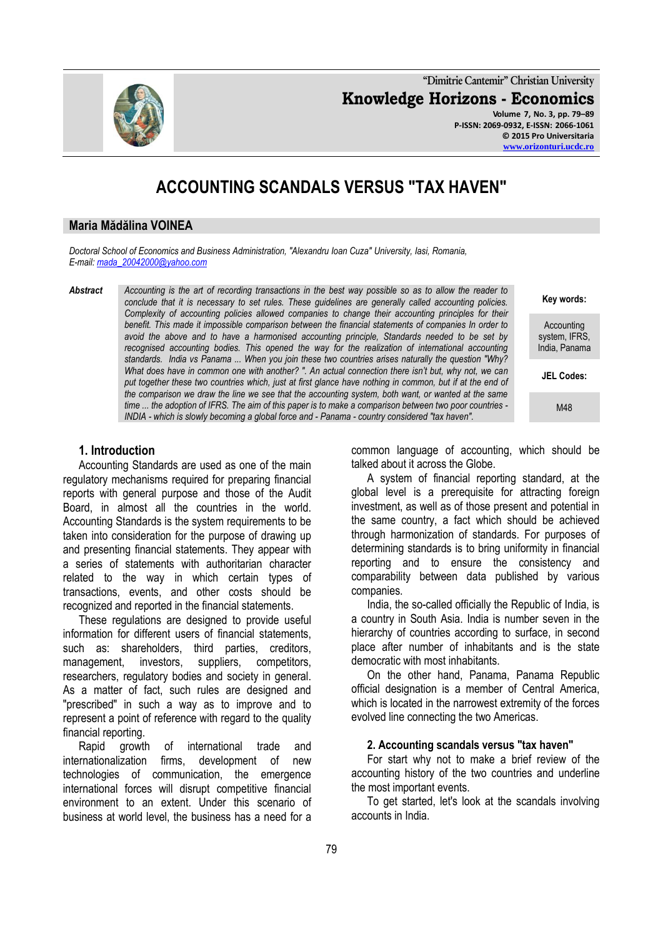**"Dimitrie Cantemir" Christian University Knowledge Horizons - Economics Volume 7, No. 3, pp. 79–89 P-ISSN: 2069-0932, E-ISSN: 2066-1061 © 2015 Pro Universitaria**

# **ACCOUNTING SCANDALS VERSUS "TAX HAVEN"**

#### **Maria Mădălina VOINEA**

*Doctoral School of Economics and Business Administration, "Alexandru Ioan Cuza" University, Iasi, Romania, E-mail: [mada\\_20042000@yahoo.com](mailto:mada_20042000@yahoo.com)*

*Abstract Accounting is the art of recording transactions in the best way possible so as to allow the reader to conclude that it is necessary to set rules. These guidelines are generally called accounting policies. Complexity of accounting policies allowed companies to change their accounting principles for their benefit. This made it impossible comparison between the financial statements of companies In order to avoid the above and to have a harmonised accounting principle, Standards needed to be set by*  recognised accounting bodies. This opened the way for the realization of international accounting *standards. India vs Panama ... When you join these two countries arises naturally the question "Why? What does have in common one with another? ". An actual connection there isn't but, why not, we can put together these two countries which, just at first glance have nothing in common, but if at the end of the comparison we draw the line we see that the accounting system, both want, or wanted at the same time ... the adoption of IFRS. The aim of this paper is to make a comparison between two poor countries - INDIA - which is slowly becoming a global force and - Panama - country considered "tax haven".*

**Key words:**

Accounting system, IFRS, India, Panama

**JEL Codes:**

M48

#### **1. Introduction**

Accounting Standards are used as one of the main regulatory mechanisms required for preparing financial reports with general purpose and those of the Audit Board, in almost all the countries in the world. Accounting Standards is the system requirements to be taken into consideration for the purpose of drawing up and presenting financial statements. They appear with a series of statements with authoritarian character related to the way in which certain types of transactions, events, and other costs should be recognized and reported in the financial statements.

These regulations are designed to provide useful information for different users of financial statements, such as: shareholders, third parties, creditors, management, investors, suppliers, competitors, researchers, regulatory bodies and society in general. As a matter of fact, such rules are designed and "prescribed" in such a way as to improve and to represent a point of reference with regard to the quality financial reporting.

Rapid growth of international trade and internationalization firms, development of new technologies of communication, the emergence international forces will disrupt competitive financial environment to an extent. Under this scenario of business at world level, the business has a need for a common language of accounting, which should be talked about it across the Globe.

A system of financial reporting standard, at the global level is a prerequisite for attracting foreign investment, as well as of those present and potential in the same country, a fact which should be achieved through harmonization of standards. For purposes of determining standards is to bring uniformity in financial reporting and to ensure the consistency and comparability between data published by various companies.

India, the so-called officially the Republic of India, is a country in South Asia. India is number seven in the hierarchy of countries according to surface, in second place after number of inhabitants and is the state democratic with most inhabitants.

On the other hand, Panama, Panama Republic official designation is a member of Central America, which is located in the narrowest extremity of the forces evolved line connecting the two Americas.

#### **2. Accounting scandals versus "tax haven"**

For start why not to make a brief review of the accounting history of the two countries and underline the most important events.

To get started, let's look at the scandals involving accounts in India.

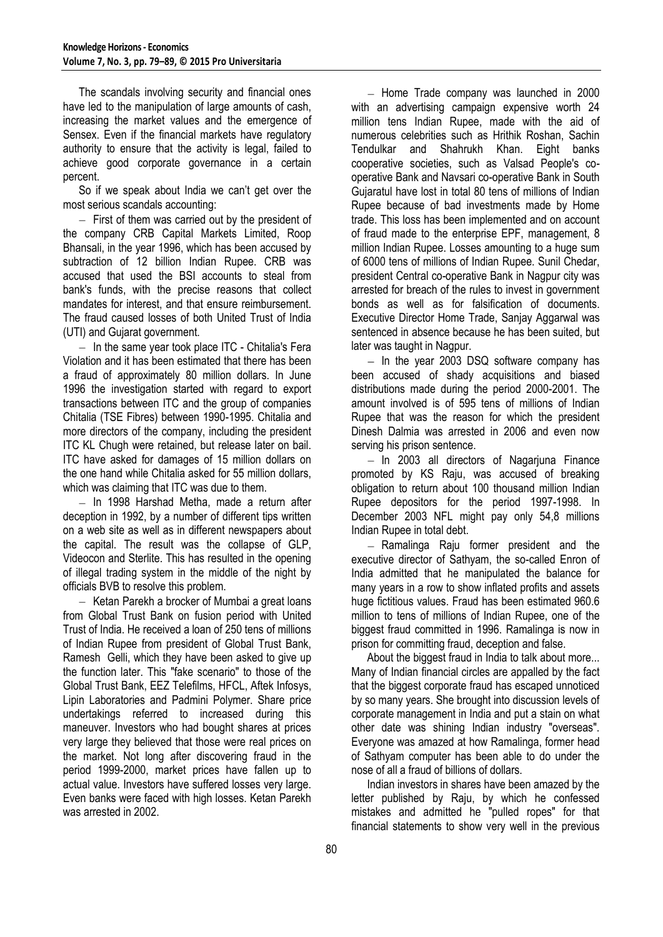The scandals involving security and financial ones have led to the manipulation of large amounts of cash, increasing the market values and the emergence of Sensex. Even if the financial markets have regulatory authority to ensure that the activity is legal, failed to achieve good corporate governance in a certain percent.

So if we speak about India we can't get over the most serious scandals accounting:

 $-$  First of them was carried out by the president of the company CRB Capital Markets Limited, Roop Bhansali, in the year 1996, which has been accused by subtraction of 12 billion Indian Rupee. CRB was accused that used the BSI accounts to steal from bank's funds, with the precise reasons that collect mandates for interest, and that ensure reimbursement. The fraud caused losses of both United Trust of India (UTI) and Gujarat government.

 $-$  In the same year took place ITC - Chitalia's Fera Violation and it has been estimated that there has been a fraud of approximately 80 million dollars. In June 1996 the investigation started with regard to export transactions between ITC and the group of companies Chitalia (TSE Fibres) between 1990-1995. Chitalia and more directors of the company, including the president ITC KL Chugh were retained, but release later on bail. ITC have asked for damages of 15 million dollars on the one hand while Chitalia asked for 55 million dollars, which was claiming that ITC was due to them.

 $-$  In 1998 Harshad Metha, made a return after deception in 1992, by a number of different tips written on a web site as well as in different newspapers about the capital. The result was the collapse of GLP, Videocon and Sterlite. This has resulted in the opening of illegal trading system in the middle of the night by officials BVB to resolve this problem.

 $-$  Ketan Parekh a brocker of Mumbai a great loans from Global Trust Bank on fusion period with United Trust of India. He received a loan of 250 tens of millions of Indian Rupee from president of Global Trust Bank, Ramesh Gelli, which they have been asked to give up the function later. This "fake scenario" to those of the Global Trust Bank, EEZ Telefilms, HFCL, Aftek Infosys, Lipin Laboratories and Padmini Polymer. Share price undertakings referred to increased during this maneuver. Investors who had bought shares at prices very large they believed that those were real prices on the market. Not long after discovering fraud in the period 1999-2000, market prices have fallen up to actual value. Investors have suffered losses very large. Even banks were faced with high losses. Ketan Parekh was arrested in 2002.

 $-$  Home Trade company was launched in 2000 with an advertising campaign expensive worth 24 million tens Indian Rupee, made with the aid of numerous celebrities such as Hrithik Roshan, Sachin Tendulkar and Shahrukh Khan. Eight banks cooperative societies, such as Valsad People's cooperative Bank and Navsari co-operative Bank in South Gujaratul have lost in total 80 tens of millions of Indian Rupee because of bad investments made by Home trade. This loss has been implemented and on account of fraud made to the enterprise EPF, management, 8 million Indian Rupee. Losses amounting to a huge sum of 6000 tens of millions of Indian Rupee. Sunil Chedar, president Central co-operative Bank in Nagpur city was arrested for breach of the rules to invest in government bonds as well as for falsification of documents. Executive Director Home Trade, Sanjay Aggarwal was sentenced in absence because he has been suited, but later was taught in Nagpur.

 $-$  In the year 2003 DSQ software company has been accused of shady acquisitions and biased distributions made during the period 2000-2001. The amount involved is of 595 tens of millions of Indian Rupee that was the reason for which the president Dinesh Dalmia was arrested in 2006 and even now serving his prison sentence.

 $-$  In 2003 all directors of Nagariuna Finance promoted by KS Raju, was accused of breaking obligation to return about 100 thousand million Indian Rupee depositors for the period 1997-1998. In December 2003 NFL might pay only 54,8 millions Indian Rupee in total debt.

- Ramalinga Raju former president and the executive director of Sathyam, the so-called Enron of India admitted that he manipulated the balance for many years in a row to show inflated profits and assets huge fictitious values. Fraud has been estimated 960.6 million to tens of millions of Indian Rupee, one of the biggest fraud committed in 1996. Ramalinga is now in prison for committing fraud, deception and false.

About the biggest fraud in India to talk about more... Many of Indian financial circles are appalled by the fact that the biggest corporate fraud has escaped unnoticed by so many years. She brought into discussion levels of corporate management in India and put a stain on what other date was shining Indian industry "overseas". Everyone was amazed at how Ramalinga, former head of Sathyam computer has been able to do under the nose of all a fraud of billions of dollars.

Indian investors in shares have been amazed by the letter published by Raju, by which he confessed mistakes and admitted he "pulled ropes" for that financial statements to show very well in the previous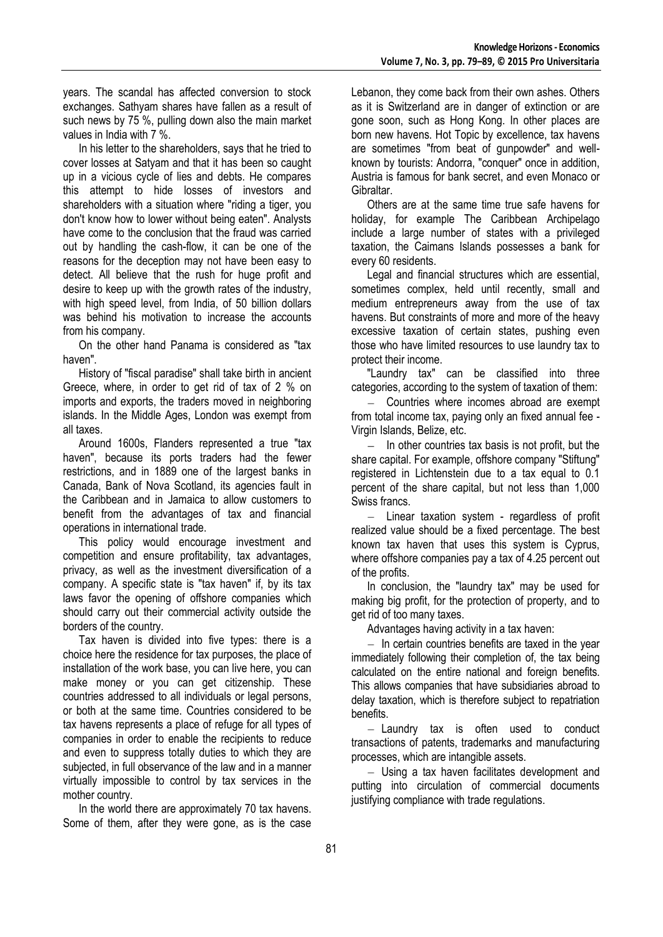years. The scandal has affected conversion to stock exchanges. Sathyam shares have fallen as a result of such news by 75 %, pulling down also the main market values in India with 7 %.

In his letter to the shareholders, says that he tried to cover losses at Satyam and that it has been so caught up in a vicious cycle of lies and debts. He compares this attempt to hide losses of investors and shareholders with a situation where "riding a tiger, you don't know how to lower without being eaten". Analysts have come to the conclusion that the fraud was carried out by handling the cash-flow, it can be one of the reasons for the deception may not have been easy to detect. All believe that the rush for huge profit and desire to keep up with the growth rates of the industry, with high speed level, from India, of 50 billion dollars was behind his motivation to increase the accounts from his company.

On the other hand Panama is considered as "tax haven".

History of "fiscal paradise" shall take birth in ancient Greece, where, in order to get rid of tax of 2 % on imports and exports, the traders moved in neighboring islands. In the Middle Ages, London was exempt from all taxes.

Around 1600s, Flanders represented a true "tax haven", because its ports traders had the fewer restrictions, and in 1889 one of the largest banks in Canada, Bank of Nova Scotland, its agencies fault in the Caribbean and in Jamaica to allow customers to benefit from the advantages of tax and financial operations in international trade.

This policy would encourage investment and competition and ensure profitability, tax advantages, privacy, as well as the investment diversification of a company. A specific state is "tax haven" if, by its tax laws favor the opening of offshore companies which should carry out their commercial activity outside the borders of the country.

Tax haven is divided into five types: there is a choice here the residence for tax purposes, the place of installation of the work base, you can live here, you can make money or you can get citizenship. These countries addressed to all individuals or legal persons, or both at the same time. Countries considered to be tax havens represents a place of refuge for all types of companies in order to enable the recipients to reduce and even to suppress totally duties to which they are subjected, in full observance of the law and in a manner virtually impossible to control by tax services in the mother country.

In the world there are approximately 70 tax havens. Some of them, after they were gone, as is the case

Lebanon, they come back from their own ashes. Others as it is Switzerland are in danger of extinction or are gone soon, such as Hong Kong. In other places are born new havens. Hot Topic by excellence, tax havens are sometimes "from beat of gunpowder" and wellknown by tourists: Andorra, "conquer" once in addition, Austria is famous for bank secret, and even Monaco or Gibraltar.

Others are at the same time true safe havens for holiday, for example The Caribbean Archipelago include a large number of states with a privileged taxation, the Caimans Islands possesses a bank for every 60 residents.

Legal and financial structures which are essential, sometimes complex, held until recently, small and medium entrepreneurs away from the use of tax havens. But constraints of more and more of the heavy excessive taxation of certain states, pushing even those who have limited resources to use laundry tax to protect their income.

"Laundry tax" can be classified into three categories, according to the system of taxation of them:

- Countries where incomes abroad are exempt from total income tax, paying only an fixed annual fee - Virgin Islands, Belize, etc.

 $-$  In other countries tax basis is not profit, but the share capital. For example, offshore company "Stiftung" registered in Lichtenstein due to a tax equal to 0.1 percent of the share capital, but not less than 1,000 Swiss francs.

 $-$  Linear taxation system - regardless of profit realized value should be a fixed percentage. The best known tax haven that uses this system is Cyprus, where offshore companies pay a tax of 4.25 percent out of the profits.

In conclusion, the "laundry tax" may be used for making big profit, for the protection of property, and to get rid of too many taxes.

Advantages having activity in a tax haven:

 $-$  In certain countries benefits are taxed in the vear immediately following their completion of, the tax being calculated on the entire national and foreign benefits. This allows companies that have subsidiaries abroad to delay taxation, which is therefore subject to repatriation benefits.

- Laundry tax is often used to conduct transactions of patents, trademarks and manufacturing processes, which are intangible assets.

Using a tax haven facilitates development and putting into circulation of commercial documents justifying compliance with trade regulations.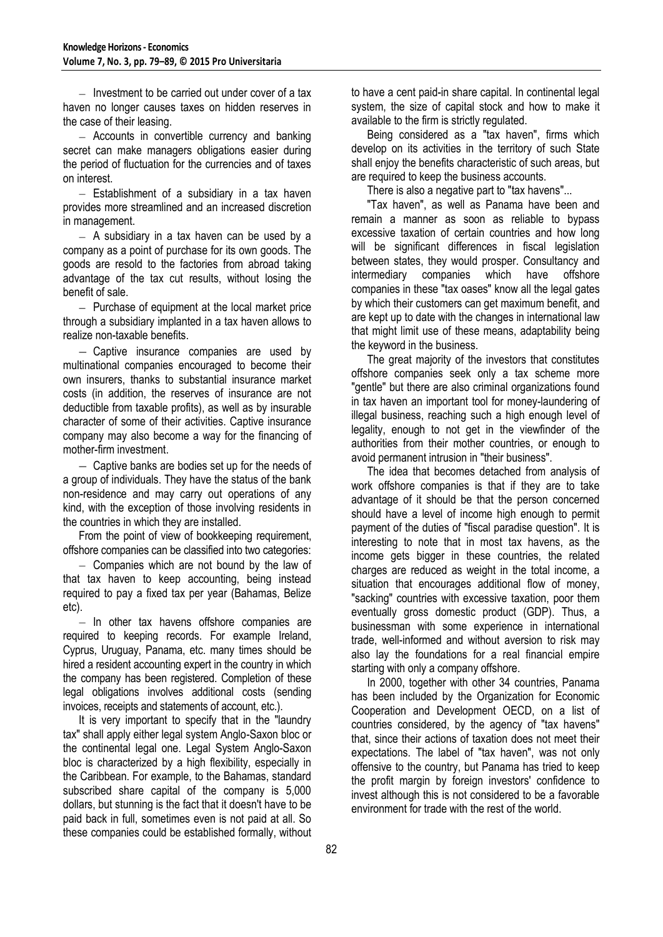$-$  Investment to be carried out under cover of a tax haven no longer causes taxes on hidden reserves in the case of their leasing.

- Accounts in convertible currency and banking secret can make managers obligations easier during the period of fluctuation for the currencies and of taxes on interest.

 $-$  Establishment of a subsidiary in a tax haven provides more streamlined and an increased discretion in management.

 $-$  A subsidiary in a tax haven can be used by a company as a point of purchase for its own goods. The goods are resold to the factories from abroad taking advantage of the tax cut results, without losing the benefit of sale.

 $-$  Purchase of equipment at the local market price through a subsidiary implanted in a tax haven allows to realize non-taxable benefits.

- Captive insurance companies are used by multinational companies encouraged to become their own insurers, thanks to substantial insurance market costs (in addition, the reserves of insurance are not deductible from taxable profits), as well as by insurable character of some of their activities. Captive insurance company may also become a way for the financing of mother-firm investment.

 $-$  Captive banks are bodies set up for the needs of a group of individuals. They have the status of the bank non-residence and may carry out operations of any kind, with the exception of those involving residents in the countries in which they are installed.

From the point of view of bookkeeping requirement, offshore companies can be classified into two categories:

 $-$  Companies which are not bound by the law of that tax haven to keep accounting, being instead required to pay a fixed tax per year (Bahamas, Belize etc).

- In other tax havens offshore companies are required to keeping records. For example Ireland, Cyprus, Uruguay, Panama, etc. many times should be hired a resident accounting expert in the country in which the company has been registered. Completion of these legal obligations involves additional costs (sending invoices, receipts and statements of account, etc.).

It is very important to specify that in the "laundry tax" shall apply either legal system Anglo-Saxon bloc or the continental legal one. Legal System Anglo-Saxon bloc is characterized by a high flexibility, especially in the Caribbean. For example, to the Bahamas, standard subscribed share capital of the company is 5,000 dollars, but stunning is the fact that it doesn't have to be paid back in full, sometimes even is not paid at all. So these companies could be established formally, without to have a cent paid-in share capital. In continental legal system, the size of capital stock and how to make it available to the firm is strictly regulated.

Being considered as a "tax haven", firms which develop on its activities in the territory of such State shall enjoy the benefits characteristic of such areas, but are required to keep the business accounts.

There is also a negative part to "tax havens"...

"Tax haven", as well as Panama have been and remain a manner as soon as reliable to bypass excessive taxation of certain countries and how long will be significant differences in fiscal legislation between states, they would prosper. Consultancy and intermediary companies which have offshore companies in these "tax oases" know all the legal gates by which their customers can get maximum benefit, and are kept up to date with the changes in international law that might limit use of these means, adaptability being the keyword in the business.

The great majority of the investors that constitutes offshore companies seek only a tax scheme more "gentle" but there are also criminal organizations found in tax haven an important tool for money-laundering of illegal business, reaching such a high enough level of legality, enough to not get in the viewfinder of the authorities from their mother countries, or enough to avoid permanent intrusion in "their business".

The idea that becomes detached from analysis of work offshore companies is that if they are to take advantage of it should be that the person concerned should have a level of income high enough to permit payment of the duties of "fiscal paradise question". It is interesting to note that in most tax havens, as the income gets bigger in these countries, the related charges are reduced as weight in the total income, a situation that encourages additional flow of money, "sacking" countries with excessive taxation, poor them eventually gross domestic product (GDP). Thus, a businessman with some experience in international trade, well-informed and without aversion to risk may also lay the foundations for a real financial empire starting with only a company offshore.

In 2000, together with other 34 countries, Panama has been included by the Organization for Economic Cooperation and Development OECD, on a list of countries considered, by the agency of "tax havens" that, since their actions of taxation does not meet their expectations. The label of "tax haven", was not only offensive to the country, but Panama has tried to keep the profit margin by foreign investors' confidence to invest although this is not considered to be a favorable environment for trade with the rest of the world.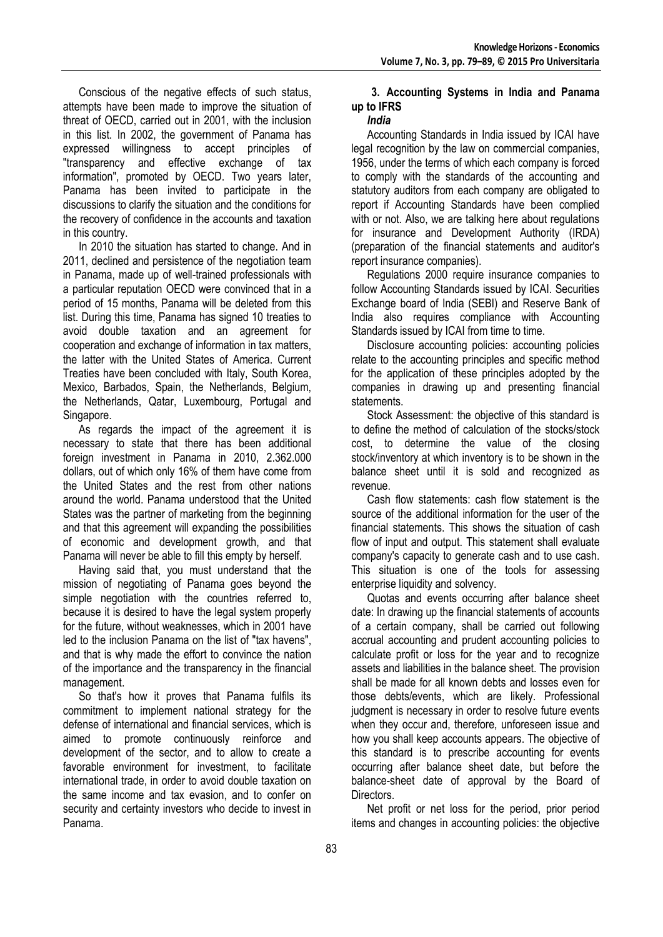Conscious of the negative effects of such status, attempts have been made to improve the situation of threat of OECD, carried out in 2001, with the inclusion in this list. In 2002, the government of Panama has expressed willingness to accept principles of "transparency and effective exchange of tax information", promoted by OECD. Two years later, Panama has been invited to participate in the discussions to clarify the situation and the conditions for the recovery of confidence in the accounts and taxation in this country.

In 2010 the situation has started to change. And in 2011, declined and persistence of the negotiation team in Panama, made up of well-trained professionals with a particular reputation OECD were convinced that in a period of 15 months, Panama will be deleted from this list. During this time, Panama has signed 10 treaties to avoid double taxation and an agreement for cooperation and exchange of information in tax matters, the latter with the United States of America. Current Treaties have been concluded with Italy, South Korea, Mexico, Barbados, Spain, the Netherlands, Belgium, the Netherlands, Qatar, Luxembourg, Portugal and Singapore.

As regards the impact of the agreement it is necessary to state that there has been additional foreign investment in Panama in 2010, 2.362.000 dollars, out of which only 16% of them have come from the United States and the rest from other nations around the world. Panama understood that the United States was the partner of marketing from the beginning and that this agreement will expanding the possibilities of economic and development growth, and that Panama will never be able to fill this empty by herself.

Having said that, you must understand that the mission of negotiating of Panama goes beyond the simple negotiation with the countries referred to, because it is desired to have the legal system properly for the future, without weaknesses, which in 2001 have led to the inclusion Panama on the list of "tax havens", and that is why made the effort to convince the nation of the importance and the transparency in the financial management.

So that's how it proves that Panama fulfils its commitment to implement national strategy for the defense of international and financial services, which is aimed to promote continuously reinforce and development of the sector, and to allow to create a favorable environment for investment, to facilitate international trade, in order to avoid double taxation on the same income and tax evasion, and to confer on security and certainty investors who decide to invest in Panama.

#### **3. Accounting Systems in India and Panama up to IFRS**  *India*

Accounting Standards in India issued by ICAI have legal recognition by the law on commercial companies, 1956, under the terms of which each company is forced to comply with the standards of the accounting and statutory auditors from each company are obligated to report if Accounting Standards have been complied with or not. Also, we are talking here about regulations for insurance and Development Authority (IRDA) (preparation of the financial statements and auditor's report insurance companies).

Regulations 2000 require insurance companies to follow Accounting Standards issued by ICAI. Securities Exchange board of India (SEBI) and Reserve Bank of India also requires compliance with Accounting Standards issued by ICAI from time to time.

Disclosure accounting policies: accounting policies relate to the accounting principles and specific method for the application of these principles adopted by the companies in drawing up and presenting financial statements.

Stock Assessment: the objective of this standard is to define the method of calculation of the stocks/stock cost, to determine the value of the closing stock/inventory at which inventory is to be shown in the balance sheet until it is sold and recognized as revenue.

Cash flow statements: cash flow statement is the source of the additional information for the user of the financial statements. This shows the situation of cash flow of input and output. This statement shall evaluate company's capacity to generate cash and to use cash. This situation is one of the tools for assessing enterprise liquidity and solvency.

Quotas and events occurring after balance sheet date: In drawing up the financial statements of accounts of a certain company, shall be carried out following accrual accounting and prudent accounting policies to calculate profit or loss for the year and to recognize assets and liabilities in the balance sheet. The provision shall be made for all known debts and losses even for those debts/events, which are likely. Professional judgment is necessary in order to resolve future events when they occur and, therefore, unforeseen issue and how you shall keep accounts appears. The objective of this standard is to prescribe accounting for events occurring after balance sheet date, but before the balance-sheet date of approval by the Board of Directors.

Net profit or net loss for the period, prior period items and changes in accounting policies: the objective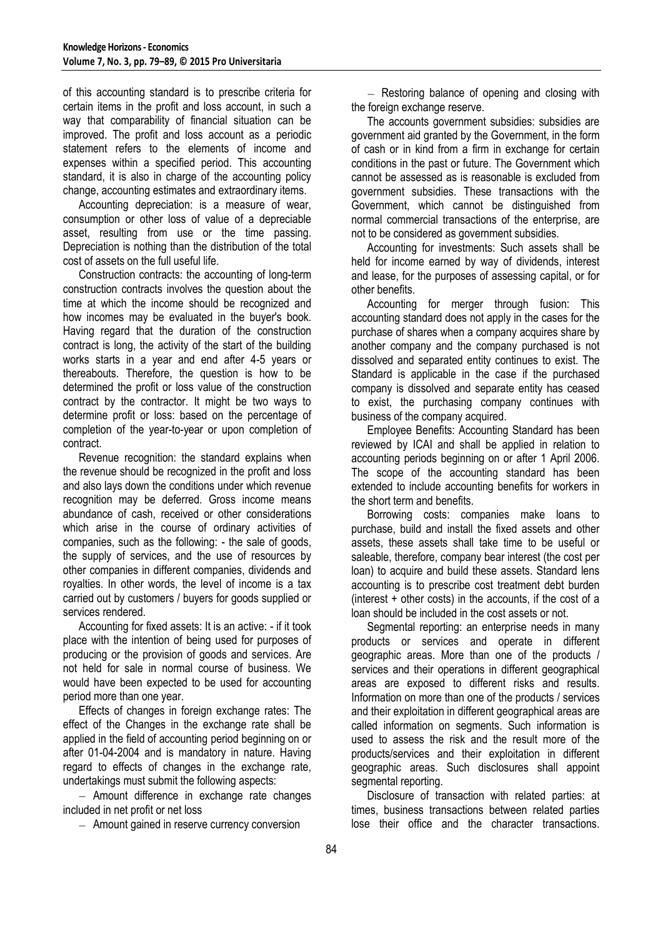of this accounting standard is to prescribe criteria for certain items in the profit and loss account, in such a way that comparability of financial situation can be improved. The profit and loss account as a periodic statement refers to the elements of income and expenses within a specified period. This accounting standard, it is also in charge of the accounting policy change, accounting estimates and extraordinary items.

Accounting depreciation: is a measure of wear, consumption or other loss of value of a depreciable asset, resulting from use or the time passing. Depreciation is nothing than the distribution of the total cost of assets on the full useful life.

Construction contracts: the accounting of long-term construction contracts involves the question about the time at which the income should be recognized and how incomes may be evaluated in the buyer's book. Having regard that the duration of the construction contract is long, the activity of the start of the building works starts in a year and end after 4-5 years or thereabouts. Therefore, the question is how to be determined the profit or loss value of the construction contract by the contractor. It might be two ways to determine profit or loss: based on the percentage of completion of the year-to-year or upon completion of contract.

Revenue recognition: the standard explains when the revenue should be recognized in the profit and loss and also lays down the conditions under which revenue recognition may be deferred. Gross income means abundance of cash, received or other considerations which arise in the course of ordinary activities of companies, such as the following: - the sale of goods, the supply of services, and the use of resources by other companies in different companies, dividends and royalties. In other words, the level of income is a tax carried out by customers / buyers for goods supplied or services rendered.

Accounting for fixed assets: It is an active: - if it took place with the intention of being used for purposes of producing or the provision of goods and services. Are not held for sale in normal course of business. We would have been expected to be used for accounting period more than one year.

Effects of changes in foreign exchange rates: The effect of the Changes in the exchange rate shall be applied in the field of accounting period beginning on or after 01-04-2004 and is mandatory in nature. Having regard to effects of changes in the exchange rate, undertakings must submit the following aspects:

 $-$  Amount difference in exchange rate changes included in net profit or net loss

Amount gained in reserve currency conversion

- Restoring balance of opening and closing with the foreign exchange reserve.

The accounts government subsidies: subsidies are government aid granted by the Government, in the form of cash or in kind from a firm in exchange for certain conditions in the past or future. The Government which cannot be assessed as is reasonable is excluded from government subsidies. These transactions with the Government, which cannot be distinguished from normal commercial transactions of the enterprise, are not to be considered as government subsidies.

Accounting for investments: Such assets shall be held for income earned by way of dividends, interest and lease, for the purposes of assessing capital, or for other benefits.

Accounting for merger through fusion: This accounting standard does not apply in the cases for the purchase of shares when a company acquires share by another company and the company purchased is not dissolved and separated entity continues to exist. The Standard is applicable in the case if the purchased company is dissolved and separate entity has ceased to exist, the purchasing company continues with business of the company acquired.

Employee Benefits: Accounting Standard has been reviewed by ICAI and shall be applied in relation to accounting periods beginning on or after 1 April 2006. The scope of the accounting standard has been extended to include accounting benefits for workers in the short term and benefits.

Borrowing costs: companies make loans to purchase, build and install the fixed assets and other assets, these assets shall take time to be useful or saleable, therefore, company bear interest (the cost per loan) to acquire and build these assets. Standard lens accounting is to prescribe cost treatment debt burden (interest + other costs) in the accounts, if the cost of a loan should be included in the cost assets or not.

Segmental reporting: an enterprise needs in many products or services and operate in different geographic areas. More than one of the products / services and their operations in different geographical areas are exposed to different risks and results. Information on more than one of the products / services and their exploitation in different geographical areas are called information on segments. Such information is used to assess the risk and the result more of the products/services and their exploitation in different geographic areas. Such disclosures shall appoint segmental reporting.

Disclosure of transaction with related parties: at times, business transactions between related parties lose their office and the character transactions.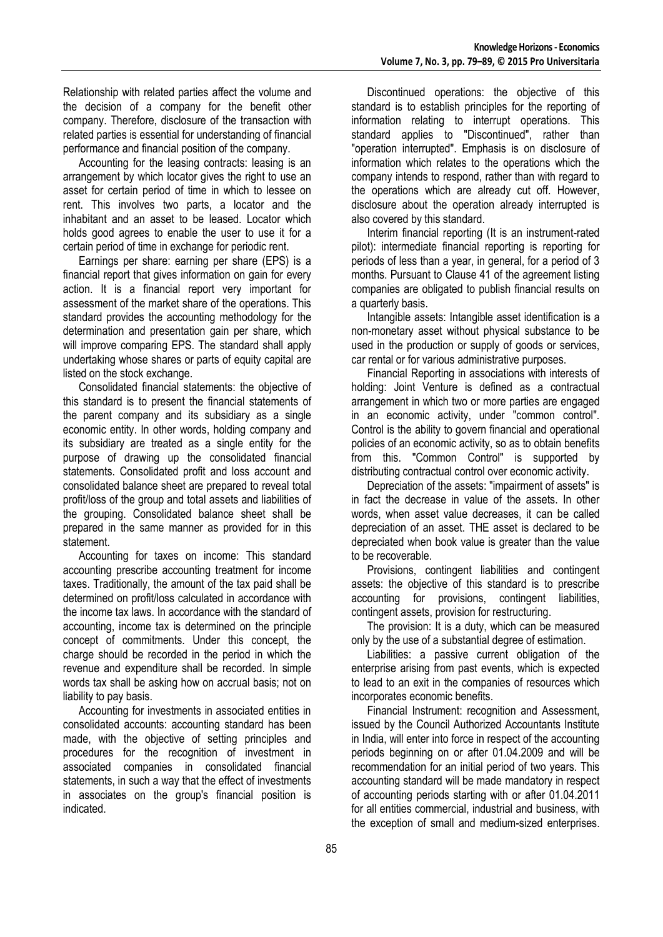Relationship with related parties affect the volume and the decision of a company for the benefit other company. Therefore, disclosure of the transaction with related parties is essential for understanding of financial performance and financial position of the company.

Accounting for the leasing contracts: leasing is an arrangement by which locator gives the right to use an asset for certain period of time in which to lessee on rent. This involves two parts, a locator and the inhabitant and an asset to be leased. Locator which holds good agrees to enable the user to use it for a certain period of time in exchange for periodic rent.

Earnings per share: earning per share (EPS) is a financial report that gives information on gain for every action. It is a financial report very important for assessment of the market share of the operations. This standard provides the accounting methodology for the determination and presentation gain per share, which will improve comparing EPS. The standard shall apply undertaking whose shares or parts of equity capital are listed on the stock exchange.

Consolidated financial statements: the objective of this standard is to present the financial statements of the parent company and its subsidiary as a single economic entity. In other words, holding company and its subsidiary are treated as a single entity for the purpose of drawing up the consolidated financial statements. Consolidated profit and loss account and consolidated balance sheet are prepared to reveal total profit/loss of the group and total assets and liabilities of the grouping. Consolidated balance sheet shall be prepared in the same manner as provided for in this statement.

Accounting for taxes on income: This standard accounting prescribe accounting treatment for income taxes. Traditionally, the amount of the tax paid shall be determined on profit/loss calculated in accordance with the income tax laws. In accordance with the standard of accounting, income tax is determined on the principle concept of commitments. Under this concept, the charge should be recorded in the period in which the revenue and expenditure shall be recorded. In simple words tax shall be asking how on accrual basis; not on liability to pay basis.

Accounting for investments in associated entities in consolidated accounts: accounting standard has been made, with the objective of setting principles and procedures for the recognition of investment in associated companies in consolidated financial statements, in such a way that the effect of investments in associates on the group's financial position is indicated.

Discontinued operations: the objective of this standard is to establish principles for the reporting of information relating to interrupt operations. This standard applies to "Discontinued", rather than "operation interrupted". Emphasis is on disclosure of information which relates to the operations which the company intends to respond, rather than with regard to the operations which are already cut off. However, disclosure about the operation already interrupted is also covered by this standard.

Interim financial reporting (It is an instrument-rated pilot): intermediate financial reporting is reporting for periods of less than a year, in general, for a period of 3 months. Pursuant to Clause 41 of the agreement listing companies are obligated to publish financial results on a quarterly basis.

Intangible assets: Intangible asset identification is a non-monetary asset without physical substance to be used in the production or supply of goods or services, car rental or for various administrative purposes.

Financial Reporting in associations with interests of holding: Joint Venture is defined as a contractual arrangement in which two or more parties are engaged in an economic activity, under "common control". Control is the ability to govern financial and operational policies of an economic activity, so as to obtain benefits from this. "Common Control" is supported by distributing contractual control over economic activity.

Depreciation of the assets: "impairment of assets" is in fact the decrease in value of the assets. In other words, when asset value decreases, it can be called depreciation of an asset. THE asset is declared to be depreciated when book value is greater than the value to be recoverable.

Provisions, contingent liabilities and contingent assets: the objective of this standard is to prescribe accounting for provisions, contingent liabilities, contingent assets, provision for restructuring.

The provision: It is a duty, which can be measured only by the use of a substantial degree of estimation.

Liabilities: a passive current obligation of the enterprise arising from past events, which is expected to lead to an exit in the companies of resources which incorporates economic benefits.

Financial Instrument: recognition and Assessment, issued by the Council Authorized Accountants Institute in India, will enter into force in respect of the accounting periods beginning on or after 01.04.2009 and will be recommendation for an initial period of two years. This accounting standard will be made mandatory in respect of accounting periods starting with or after 01.04.2011 for all entities commercial, industrial and business, with the exception of small and medium-sized enterprises.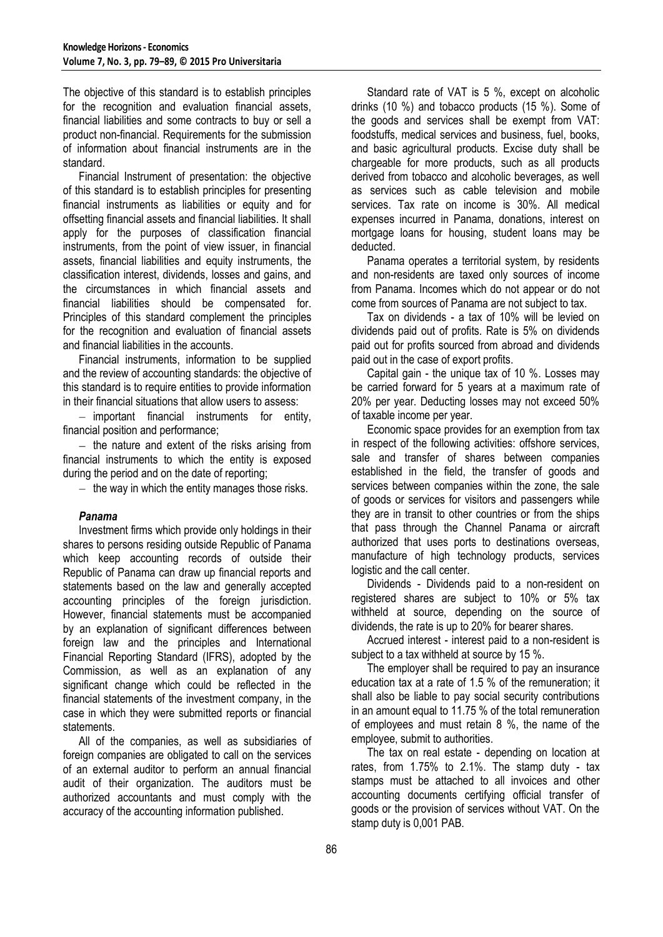The objective of this standard is to establish principles for the recognition and evaluation financial assets, financial liabilities and some contracts to buy or sell a product non-financial. Requirements for the submission of information about financial instruments are in the standard.

Financial Instrument of presentation: the objective of this standard is to establish principles for presenting financial instruments as liabilities or equity and for offsetting financial assets and financial liabilities. It shall apply for the purposes of classification financial instruments, from the point of view issuer, in financial assets, financial liabilities and equity instruments, the classification interest, dividends, losses and gains, and the circumstances in which financial assets and financial liabilities should be compensated for. Principles of this standard complement the principles for the recognition and evaluation of financial assets and financial liabilities in the accounts.

Financial instruments, information to be supplied and the review of accounting standards: the objective of this standard is to require entities to provide information in their financial situations that allow users to assess:

- important financial instruments for entity, financial position and performance;

 $-$  the nature and extent of the risks arising from financial instruments to which the entity is exposed during the period and on the date of reporting;

 $-$  the way in which the entity manages those risks.

#### *Panama*

Investment firms which provide only holdings in their shares to persons residing outside Republic of Panama which keep accounting records of outside their Republic of Panama can draw up financial reports and statements based on the law and generally accepted accounting principles of the foreign jurisdiction. However, financial statements must be accompanied by an explanation of significant differences between foreign law and the principles and International Financial Reporting Standard (IFRS), adopted by the Commission, as well as an explanation of any significant change which could be reflected in the financial statements of the investment company, in the case in which they were submitted reports or financial statements.

All of the companies, as well as subsidiaries of foreign companies are obligated to call on the services of an external auditor to perform an annual financial audit of their organization. The auditors must be authorized accountants and must comply with the accuracy of the accounting information published.

Standard rate of VAT is 5 %, except on alcoholic drinks (10 %) and tobacco products (15 %). Some of the goods and services shall be exempt from VAT: foodstuffs, medical services and business, fuel, books, and basic agricultural products. Excise duty shall be chargeable for more products, such as all products derived from tobacco and alcoholic beverages, as well as services such as cable television and mobile services. Tax rate on income is 30%. All medical expenses incurred in Panama, donations, interest on mortgage loans for housing, student loans may be deducted.

Panama operates a territorial system, by residents and non-residents are taxed only sources of income from Panama. Incomes which do not appear or do not come from sources of Panama are not subject to tax.

Tax on dividends - a tax of 10% will be levied on dividends paid out of profits. Rate is 5% on dividends paid out for profits sourced from abroad and dividends paid out in the case of export profits.

Capital gain - the unique tax of 10 %. Losses may be carried forward for 5 years at a maximum rate of 20% per year. Deducting losses may not exceed 50% of taxable income per year.

Economic space provides for an exemption from tax in respect of the following activities: offshore services, sale and transfer of shares between companies established in the field, the transfer of goods and services between companies within the zone, the sale of goods or services for visitors and passengers while they are in transit to other countries or from the ships that pass through the Channel Panama or aircraft authorized that uses ports to destinations overseas, manufacture of high technology products, services logistic and the call center.

Dividends - Dividends paid to a non-resident on registered shares are subject to 10% or 5% tax withheld at source, depending on the source of dividends, the rate is up to 20% for bearer shares.

Accrued interest - interest paid to a non-resident is subject to a tax withheld at source by 15 %.

The employer shall be required to pay an insurance education tax at a rate of 1.5 % of the remuneration; it shall also be liable to pay social security contributions in an amount equal to 11.75 % of the total remuneration of employees and must retain 8 %, the name of the employee, submit to authorities.

The tax on real estate - depending on location at rates, from 1.75% to 2.1%. The stamp duty - tax stamps must be attached to all invoices and other accounting documents certifying official transfer of goods or the provision of services without VAT. On the stamp duty is 0,001 PAB.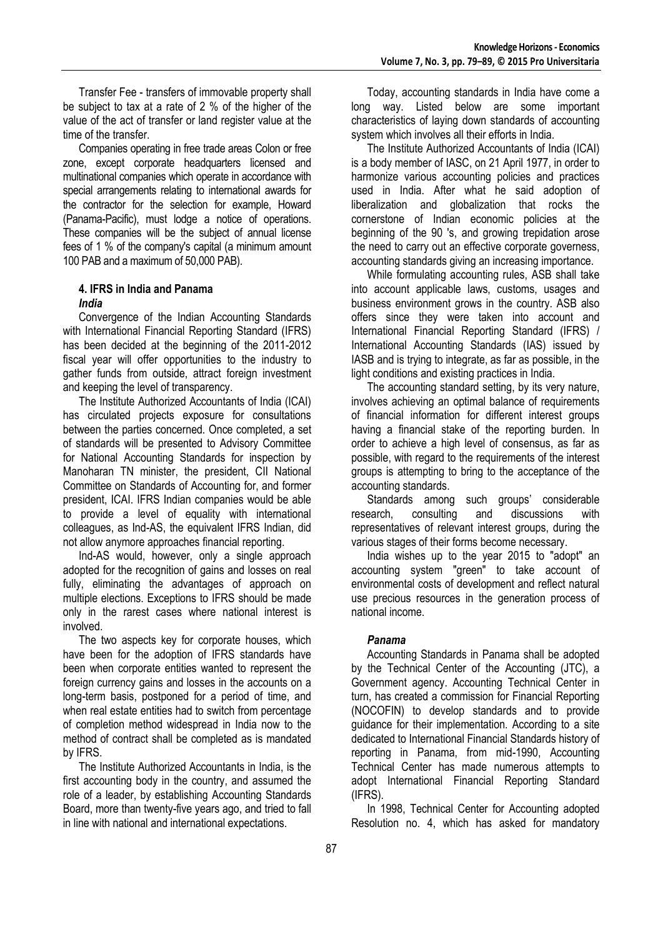Transfer Fee - transfers of immovable property shall be subject to tax at a rate of 2 % of the higher of the value of the act of transfer or land register value at the time of the transfer.

Companies operating in free trade areas Colon or free zone, except corporate headquarters licensed and multinational companies which operate in accordance with special arrangements relating to international awards for the contractor for the selection for example, Howard (Panama-Pacific), must lodge a notice of operations. These companies will be the subject of annual license fees of 1 % of the company's capital (a minimum amount 100 PAB and a maximum of 50,000 PAB).

## **4. IFRS in India and Panama**  *India*

Convergence of the Indian Accounting Standards with International Financial Reporting Standard (IFRS) has been decided at the beginning of the 2011-2012 fiscal year will offer opportunities to the industry to gather funds from outside, attract foreign investment and keeping the level of transparency.

The Institute Authorized Accountants of India (ICAI) has circulated projects exposure for consultations between the parties concerned. Once completed, a set of standards will be presented to Advisory Committee for National Accounting Standards for inspection by Manoharan TN minister, the president, CII National Committee on Standards of Accounting for, and former president, ICAI. IFRS Indian companies would be able to provide a level of equality with international colleagues, as Ind-AS, the equivalent IFRS Indian, did not allow anymore approaches financial reporting.

Ind-AS would, however, only a single approach adopted for the recognition of gains and losses on real fully, eliminating the advantages of approach on multiple elections. Exceptions to IFRS should be made only in the rarest cases where national interest is involved.

The two aspects key for corporate houses, which have been for the adoption of IFRS standards have been when corporate entities wanted to represent the foreign currency gains and losses in the accounts on a long-term basis, postponed for a period of time, and when real estate entities had to switch from percentage of completion method widespread in India now to the method of contract shall be completed as is mandated by IFRS.

The Institute Authorized Accountants in India, is the first accounting body in the country, and assumed the role of a leader, by establishing Accounting Standards Board, more than twenty-five years ago, and tried to fall in line with national and international expectations.

Today, accounting standards in India have come a long way. Listed below are some important characteristics of laying down standards of accounting system which involves all their efforts in India.

The Institute Authorized Accountants of India (ICAI) is a body member of IASC, on 21 April 1977, in order to harmonize various accounting policies and practices used in India. After what he said adoption of liberalization and globalization that rocks the cornerstone of Indian economic policies at the beginning of the 90 's, and growing trepidation arose the need to carry out an effective corporate governess, accounting standards giving an increasing importance.

While formulating accounting rules, ASB shall take into account applicable laws, customs, usages and business environment grows in the country. ASB also offers since they were taken into account and International Financial Reporting Standard (IFRS) / International Accounting Standards (IAS) issued by IASB and is trying to integrate, as far as possible, in the light conditions and existing practices in India.

The accounting standard setting, by its very nature, involves achieving an optimal balance of requirements of financial information for different interest groups having a financial stake of the reporting burden. In order to achieve a high level of consensus, as far as possible, with regard to the requirements of the interest groups is attempting to bring to the acceptance of the accounting standards.

Standards among such groups' considerable research, consulting and discussions with representatives of relevant interest groups, during the various stages of their forms become necessary.

India wishes up to the year 2015 to "adopt" an accounting system "green" to take account of environmental costs of development and reflect natural use precious resources in the generation process of national income.

# *Panama*

Accounting Standards in Panama shall be adopted by the Technical Center of the Accounting (JTC), a Government agency. Accounting Technical Center in turn, has created a commission for Financial Reporting (NOCOFIN) to develop standards and to provide guidance for their implementation. According to a site dedicated to International Financial Standards history of reporting in Panama, from mid-1990, Accounting Technical Center has made numerous attempts to adopt International Financial Reporting Standard (IFRS).

In 1998, Technical Center for Accounting adopted Resolution no. 4, which has asked for mandatory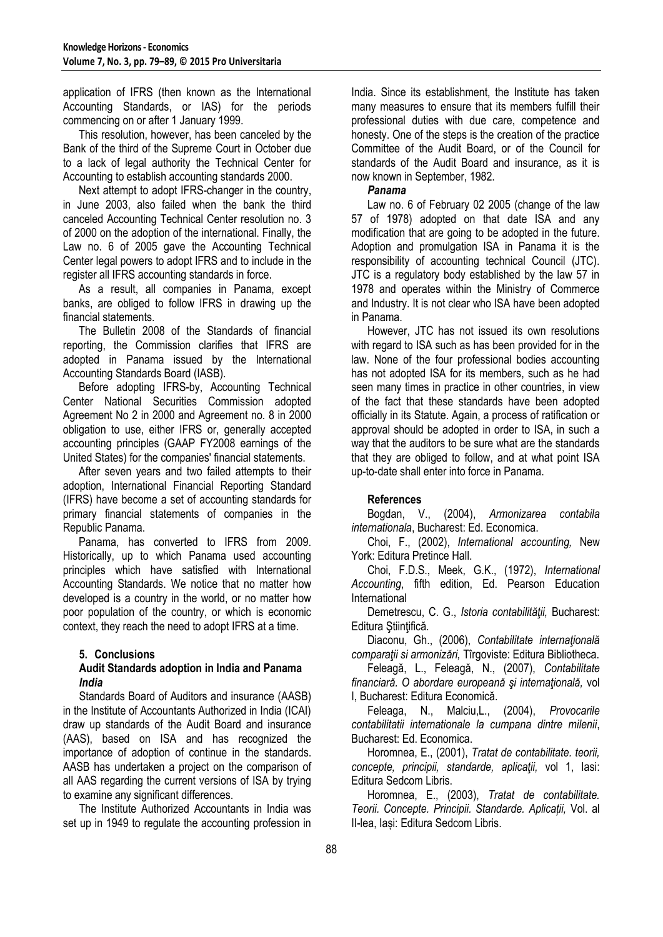application of IFRS (then known as the International Accounting Standards, or IAS) for the periods commencing on or after 1 January 1999.

This resolution, however, has been canceled by the Bank of the third of the Supreme Court in October due to a lack of legal authority the Technical Center for Accounting to establish accounting standards 2000.

Next attempt to adopt IFRS-changer in the country, in June 2003, also failed when the bank the third canceled Accounting Technical Center resolution no. 3 of 2000 on the adoption of the international. Finally, the Law no. 6 of 2005 gave the Accounting Technical Center legal powers to adopt IFRS and to include in the register all IFRS accounting standards in force.

As a result, all companies in Panama, except banks, are obliged to follow IFRS in drawing up the financial statements.

The Bulletin 2008 of the Standards of financial reporting, the Commission clarifies that IFRS are adopted in Panama issued by the International Accounting Standards Board (IASB).

Before adopting IFRS-by, Accounting Technical Center National Securities Commission adopted Agreement No 2 in 2000 and Agreement no. 8 in 2000 obligation to use, either IFRS or, generally accepted accounting principles (GAAP FY2008 earnings of the United States) for the companies' financial statements.

After seven years and two failed attempts to their adoption, International Financial Reporting Standard (IFRS) have become a set of accounting standards for primary financial statements of companies in the Republic Panama.

Panama, has converted to IFRS from 2009. Historically, up to which Panama used accounting principles which have satisfied with International Accounting Standards. We notice that no matter how developed is a country in the world, or no matter how poor population of the country, or which is economic context, they reach the need to adopt IFRS at a time.

# **5. Conclusions**

## **Audit Standards adoption in India and Panama** *India*

Standards Board of Auditors and insurance (AASB) in the Institute of Accountants Authorized in India (ICAI) draw up standards of the Audit Board and insurance (AAS), based on ISA and has recognized the importance of adoption of continue in the standards. AASB has undertaken a project on the comparison of all AAS regarding the current versions of ISA by trying to examine any significant differences.

The Institute Authorized Accountants in India was set up in 1949 to regulate the accounting profession in India. Since its establishment, the Institute has taken many measures to ensure that its members fulfill their professional duties with due care, competence and honesty. One of the steps is the creation of the practice Committee of the Audit Board, or of the Council for standards of the Audit Board and insurance, as it is now known in September, 1982.

## *Panama*

Law no. 6 of February 02 2005 (change of the law 57 of 1978) adopted on that date ISA and any modification that are going to be adopted in the future. Adoption and promulgation ISA in Panama it is the responsibility of accounting technical Council (JTC). JTC is a regulatory body established by the law 57 in 1978 and operates within the Ministry of Commerce and Industry. It is not clear who ISA have been adopted in Panama.

However, JTC has not issued its own resolutions with regard to ISA such as has been provided for in the law. None of the four professional bodies accounting has not adopted ISA for its members, such as he had seen many times in practice in other countries, in view of the fact that these standards have been adopted officially in its Statute. Again, a process of ratification or approval should be adopted in order to ISA, in such a way that the auditors to be sure what are the standards that they are obliged to follow, and at what point ISA up-to-date shall enter into force in Panama.

#### **References**

Bogdan, V., (2004), *Armonizarea contabila internationala*, Bucharest: Ed. Economica.

Choi, F., (2002), *International accounting,* New York: Editura Pretince Hall.

Choi, F.D.S., Meek, G.K., (1972), *International Accounting*, fifth edition, Ed. Pearson Education International

Demetrescu, C. G., *Istoria contabilităţii,* Bucharest: Editura Ştiinţifică.

Diaconu, Gh., (2006), *Contabilitate internatională comparaţii si armonizări,* Tîrgoviste: Editura Bibliotheca.

Feleagă, L., Feleagă, N., (2007), *Contabilitate financiară. O abordare europeană şi internaţională,* vol I, Bucharest: Editura Economică.

Feleaga, N., Malciu,L., (2004), *Provocarile contabilitatii internationale la cumpana dintre milenii*, Bucharest: Ed. Economica.

Horomnea, E., (2001), *Tratat de contabilitate. teorii, concepte, principii, standarde, aplicaţii,* vol 1, Iasi: Editura Sedcom Libris.

Horomnea, E., (2003), *Tratat de contabilitate. Teorii. Concepte. Principii. Standarde. Aplicații,* Vol. al II-lea, Iași: Editura Sedcom Libris.